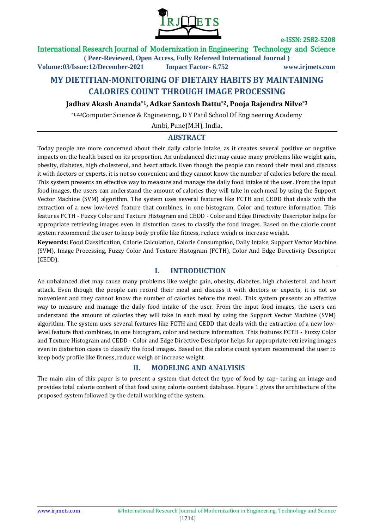

### International Research Journal of Modernization in Engineering Technology and Science

**( Peer-Reviewed, Open Access, Fully Refereed International Journal )**

**Volume:03/Issue:12/December-2021 Impact Factor- 6.752 www.irjmets.com**

# **MY DIETITIAN-MONITORING OF DIETARY HABITS BY MAINTAINING CALORIES COUNT THROUGH IMAGE PROCESSING**

**Jadhav Akash Ananda\*1, Adkar Santosh Dattu\*2, Pooja Rajendra Nilve\*3**

\*1,2,3Computer Science & Engineering**,** D Y Patil School Of Engineering Academy

Ambi, Pune(M.H), India.

## **ABSTRACT**

Today people are more concerned about their daily calorie intake, as it creates several positive or negative impacts on the health based on its proportion. An unbalanced diet may cause many problems like weight gain, obesity, diabetes, high cholesterol, and heart attack. Even though the people can record their meal and discuss it with doctors or experts, it is not so convenient and they cannot know the number of calories before the meal. This system presents an effective way to measure and manage the daily food intake of the user. From the input food images, the users can understand the amount of calories they will take in each meal by using the Support Vector Machine (SVM) algorithm. The system uses several features like FCTH and CEDD that deals with the extraction of a new low-level feature that combines, in one histogram, Color and texture information. This features FCTH - Fuzzy Color and Texture Histogram and CEDD - Color and Edge Directivity Descriptor helps for appropriate retrieving images even in distortion cases to classify the food images. Based on the calorie count system recommend the user to keep body profile like fitness, reduce weigh or increase weight.

**Keywords:** Food Classification, Calorie Calculation, Calorie Consumption, Daily Intake, Support Vector Machine (SVM), Image Processing, Fuzzy Color And Texture Histogram (FCTH), Color And Edge Directivity Descriptor (CEDD).

### **I. INTRODUCTION**

An unbalanced diet may cause many problems like weight gain, obesity, diabetes, high cholesterol, and heart attack. Even though the people can record their meal and discuss it with doctors or experts, it is not so convenient and they cannot know the number of calories before the meal. This system presents an effective way to measure and manage the daily food intake of the user. From the input food images, the users can understand the amount of calories they will take in each meal by using the Support Vector Machine (SVM) algorithm. The system uses several features like FCTH and CEDD that deals with the extraction of a new lowlevel feature that combines, in one histogram, color and texture information. This features FCTH - Fuzzy Color and Texture Histogram and CEDD - Color and Edge Directive Descriptor helps for appropriate retrieving images even in distortion cases to classify the food images. Based on the calorie count system recommend the user to keep body profile like fitness, reduce weigh or increase weight.

## **II. MODELING AND ANALYISIS**

The main aim of this paper is to present a system that detect the type of food by cap- turing an image and provides total calorie content of that food using calorie content database. Figure 1 gives the architecture of the proposed system followed by the detail working of the system.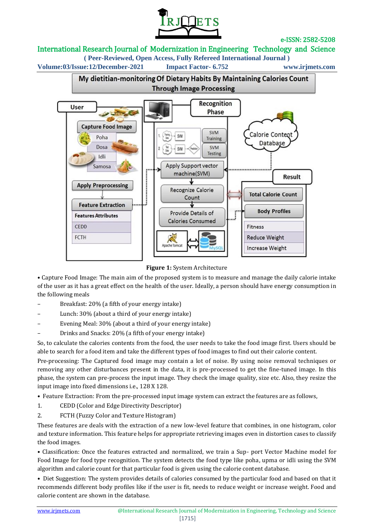

## International Research Journal of Modernization in Engineering Technology and Science

**( Peer-Reviewed, Open Access, Fully Refereed International Journal )**

**Volume:03/Issue:12/December-2021 Impact Factor- 6.752 www.irjmets.com**



**Figure 1:** System Architecture

• Capture Food Image: The main aim of the proposed system is to measure and manage the daily calorie intake of the user as it has a great effect on the health of the user. Ideally, a person should have energy consumption in the following meals

- Breakfast: 20% (a fifth of your energy intake)
- Lunch: 30% (about a third of your energy intake)
- Evening Meal: 30% (about a third of your energy intake)
- Drinks and Snacks: 20% (a fifth of your energy intake)

So, to calculate the calories contents from the food, the user needs to take the food image first. Users should be able to search for a food item and take the different types of food images to find out their calorie content.

Pre-processing: The Captured food image may contain a lot of noise. By using noise removal techniques or removing any other disturbances present in the data, it is pre-processed to get the fine-tuned image. In this phase, the system can pre-process the input image. They check the image quality, size etc. Also, they resize the input image into fixed dimensions i.e., 128 X 128.

• Feature Extraction: From the pre-processed input image system can extract the features are as follows,

- 1. CEDD (Color and Edge Directivity Descriptor)
- 2. FCTH (Fuzzy Color and Texture Histogram)

These features are deals with the extraction of a new low-level feature that combines, in one histogram, color and texture information. This feature helps for appropriate retrieving images even in distortion cases to classify the food images.

• Classification: Once the features extracted and normalized, we train a Sup- port Vector Machine model for Food Image for food type recognition. The system detects the food type like poha, upma or idli using the SVM algorithm and calorie count for that particular food is given using the calorie content database.

• Diet Suggestion: The system provides details of calories consumed by the particular food and based on that it recommends different body profiles like if the user is fit, needs to reduce weight or increase weight. Food and calorie content are shown in the database.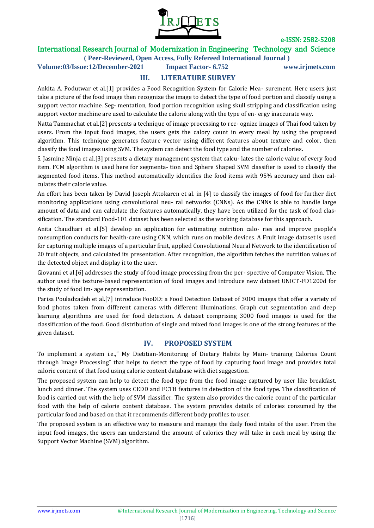

## International Research Journal of Modernization in Engineering Technology and Science

**( Peer-Reviewed, Open Access, Fully Refereed International Journal )**

**Volume:03/Issue:12/December-2021 Impact Factor- 6.752 www.irjmets.com**

## **III. LITERATURE SURVEY**

Ankita A. Podutwar et al.[1] provides a Food Recognition System for Calorie Mea- surement. Here users just take a picture of the food image then recognize the image to detect the type of food portion and classify using a support vector machine. Seg- mentation, food portion recognition using skull stripping and classification using support vector machine are used to calculate the calorie along with the type of en- ergy inaccurate way.

Natta Tammachat et al.[2] presents a technique of image processing to rec- ognize images of Thai food taken by users. From the input food images, the users gets the calory count in every meal by using the proposed algorithm. This technique generates feature vector using different features about texture and color, then classify the food images using SVM. The system can detect the food type and the number of calories.

S. Jasmine Minja et al.[3] presents a dietary management system that calcu- lates the calorie value of every food item. FCM algorithm is used here for segmenta- tion and Sphere Shaped SVM classifier is used to classify the segmented food items. This method automatically identifies the food items with 95% accuracy and then calculates their calorie value.

An effort has been taken by David Joseph Attokaren et al. in [4] to classify the images of food for further diet monitoring applications using convolutional neu- ral networks (CNNs). As the CNNs is able to handle large amount of data and can calculate the features automatically, they have been utilized for the task of food classification. The standard Food-101 dataset has been selected as the working database for this approach.

Anita Chaudhari et al.[5] develop an application for estimating nutrition calo- ries and improve people's consumption conducts for health-care using CNN, which runs on mobile devices. A Fruit image dataset is used for capturing multiple images of a particular fruit, applied Convolutional Neural Network to the identification of 20 fruit objects, and calculated its presentation. After recognition, the algorithm fetches the nutrition values of the detected object and display it to the user.

Giovanni et al.[6] addresses the study of food image processing from the per- spective of Computer Vision. The author used the texture-based representation of food images and introduce new dataset UNICT-FD1200d for the study of food im- age representation.

Parisa Pouladzadeh et al.[7] introduce FooDD: a Food Detection Dataset of 3000 images that offer a variety of food photos taken from different cameras with different illuminations. Graph cut segmentation and deep learning algorithms are used for food detection. A dataset comprising 3000 food images is used for the classification of the food. Good distribution of single and mixed food images is one of the strong features of the given dataset.

### **IV. PROPOSED SYSTEM**

To implement a system i.e.," My Dietitian-Monitoring of Dietary Habits by Main- training Calories Count through Image Processing" that helps to detect the type of food by capturing food image and provides total calorie content of that food using calorie content database with diet suggestion.

The proposed system can help to detect the food type from the food image captured by user like breakfast, lunch and dinner. The system uses CEDD and FCTH features in detection of the food type. The classification of food is carried out with the help of SVM classifier. The system also provides the calorie count of the particular food with the help of calorie content database. The system provides details of calories consumed by the particular food and based on that it recommends different body profiles to user.

The proposed system is an effective way to measure and manage the daily food intake of the user. From the input food images, the users can understand the amount of calories they will take in each meal by using the Support Vector Machine (SVM) algorithm.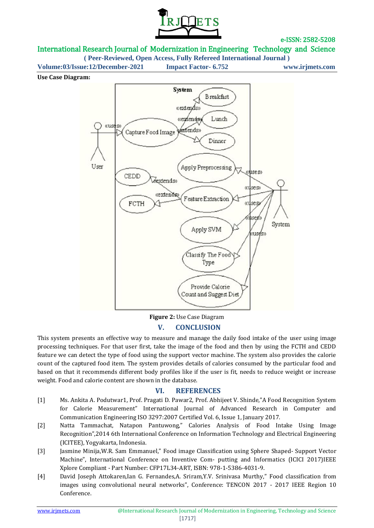

## International Research Journal of Modernization in Engineering Technology and Science

**( Peer-Reviewed, Open Access, Fully Refereed International Journal )**

**Volume:03/Issue:12/December-2021 Impact Factor- 6.752 www.irjmets.com**

#### **Use Case Diagram:**



**Figure 2:** Use Case Diagram

### **V. CONCLUSION**

This system presents an effective way to measure and manage the daily food intake of the user using image processing techniques. For that user first, take the image of the food and then by using the FCTH and CEDD feature we can detect the type of food using the support vector machine. The system also provides the calorie count of the captured food item. The system provides details of calories consumed by the particular food and based on that it recommends different body profiles like if the user is fit, needs to reduce weight or increase weight. Food and calorie content are shown in the database.

### **VI. REFERENCES**

- [1] Ms. Ankita A. Podutwar1, Prof. Pragati D. Pawar2, Prof. Abhijeet V. Shinde,"A Food Recognition System for Calorie Measurement" International Journal of Advanced Research in Computer and Communication Engineering ISO 3297:2007 Certified Vol. 6, Issue 1, January 2017.
- [2] Natta Tammachat, Natapon Pantuwong," Calories Analysis of Food Intake Using Image Recognition",2014 6th International Conference on Information Technology and Electrical Engineering (ICITEE), Yogyakarta, Indonesia.
- [3] Jasmine Minija,W.R. Sam Emmanuel," Food image Classification using Sphere Shaped- Support Vector Machine", International Conference on Inventive Com- putting and Informatics (ICICI 2017)IEEE Xplore Compliant - Part Number: CFP17L34-ART, ISBN: 978-1-5386-4031-9.
- [4] David Joseph Attokaren,Ian G. Fernandes,A. Sriram,Y.V. Srinivasa Murthy," Food classification from images using convolutional neural networks", Conference: TENCON 2017 - 2017 IEEE Region 10 Conference.